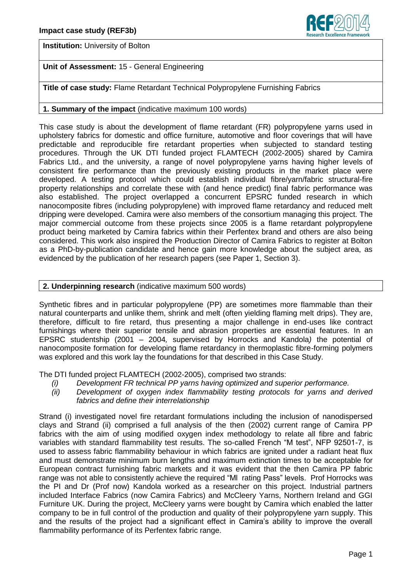

**Institution:** University of Bolton

# **Unit of Assessment:** 15 - General Engineering

**Title of case study:** Flame Retardant Technical Polypropylene Furnishing Fabrics

## **1. Summary of the impact** (indicative maximum 100 words)

This case study is about the development of flame retardant (FR) polypropylene yarns used in upholstery fabrics for domestic and office furniture, automotive and floor coverings that will have predictable and reproducible fire retardant properties when subjected to standard testing procedures. Through the UK DTI funded project FLAMTECH (2002-2005) shared by Camira Fabrics Ltd., and the university, a range of novel polypropylene yarns having higher levels of consistent fire performance than the previously existing products in the market place were developed. A testing protocol which could establish individual fibre/yarn/fabric structural-fire property relationships and correlate these with (and hence predict) final fabric performance was also established. The project overlapped a concurrent EPSRC funded research in which nanocomposite fibres (including polypropylene) with improved flame retardancy and reduced melt dripping were developed. Camira were also members of the consortium managing this project. The major commercial outcome from these projects since 2005 is a flame retardant polypropylene product being marketed by Camira fabrics within their Perfentex brand and others are also being considered. This work also inspired the Production Director of Camira Fabrics to register at Bolton as a PhD-by-publication candidate and hence gain more knowledge about the subject area, as evidenced by the publication of her research papers (see Paper 1, Section 3).

## **2. Underpinning research** (indicative maximum 500 words)

Synthetic fibres and in particular polypropylene (PP) are sometimes more flammable than their natural counterparts and unlike them, shrink and melt (often yielding flaming melt drips). They are, therefore, difficult to fire retard, thus presenting a major challenge in end-uses like contract furnishings where their superior tensile and abrasion properties are essential features. In an EPSRC studentship (2001 – 2004*,* supervised by Horrocks and Kandola*)* the potential of nanocomposite formation for developing flame retardancy in thermoplastic fibre-forming polymers was explored and this work lay the foundations for that described in this Case Study.

The DTI funded project FLAMTECH (2002-2005), comprised two strands:

- *(i) Development FR technical PP yarns having optimized and superior performance.*
- Development of oxygen index flammability testing protocols for varns and derived *fabrics and define their interrelationship*

Strand (i) investigated novel fire retardant formulations including the inclusion of nanodispersed clays and Strand (ii) comprised a full analysis of the then (2002) current range of Camira PP fabrics with the aim of using modified oxygen index methodology to relate all fibre and fabric variables with standard flammability test results. The so-called French "M test", NFP 92501-7, is used to assess fabric flammability behaviour in which fabrics are ignited under a radiant heat flux and must demonstrate minimum burn lengths and maximum extinction times to be acceptable for European contract furnishing fabric markets and it was evident that the then Camira PP fabric range was not able to consistently achieve the required "Ml rating Pass" levels. Prof Horrocks was the PI and Dr (Prof now) Kandola worked as a researcher on this project. Industrial partners included Interface Fabrics (now Camira Fabrics) and McCleery Yarns, Northern Ireland and GGI Furniture UK. During the project, McCleery yarns were bought by Camira which enabled the latter company to be in full control of the production and quality of their polypropylene yarn supply. This and the results of the project had a significant effect in Camira's ability to improve the overall flammability performance of its Perfentex fabric range.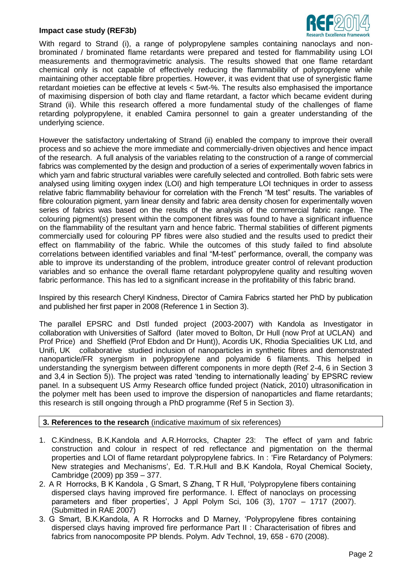#### **Impact case study (REF3b)**



With regard to Strand (i), a range of polypropylene samples containing nanoclays and nonbrominated / brominated flame retardants were prepared and tested for flammability using LOI measurements and thermogravimetric analysis. The results showed that one flame retardant chemical only is not capable of effectively reducing the flammability of polypropylene while maintaining other acceptable fibre properties. However, it was evident that use of synergistic flame retardant moieties can be effective at levels < 5wt-%. The results also emphasised the importance of maximising dispersion of both clay and flame retardant, a factor which became evident during Strand (ii). While this research offered a more fundamental study of the challenges of flame retarding polypropylene, it enabled Camira personnel to gain a greater understanding of the underlying science.

However the satisfactory undertaking of Strand (ii) enabled the company to improve their overall process and so achieve the more immediate and commercially-driven objectives and hence impact of the research. A full analysis of the variables relating to the construction of a range of commercial fabrics was complemented by the design and production of a series of experimentally woven fabrics in which yarn and fabric structural variables were carefully selected and controlled. Both fabric sets were analysed using limiting oxygen index (LOI) and high temperature LOI techniques in order to assess relative fabric flammability behaviour for correlation with the French "M test" results. The variables of fibre colouration pigment, yarn linear density and fabric area density chosen for experimentally woven series of fabrics was based on the results of the analysis of the commercial fabric range. The colouring pigment(s) present within the component fibres was found to have a significant influence on the flammability of the resultant yarn and hence fabric. Thermal stabilities of different pigments commercially used for colouring PP fibres were also studied and the results used to predict their effect on flammability of the fabric. While the outcomes of this study failed to find absolute correlations between identified variables and final "M-test" performance, overall, the company was able to improve its understanding of the problem, introduce greater control of relevant production variables and so enhance the overall flame retardant polypropylene quality and resulting woven fabric performance. This has led to a significant increase in the profitability of this fabric brand.

Inspired by this research Cheryl Kindness, Director of Camira Fabrics started her PhD by publication and published her first paper in 2008 (Reference 1 in Section 3).

The parallel EPSRC and Dstl funded project (2003-2007) with Kandola as Investigator in collaboration with Universities of Salford (later moved to Bolton, Dr Hull (now Prof at UCLAN) and Prof Price) and Sheffield (Prof Ebdon and Dr Hunt)), Acordis UK, Rhodia Specialities UK Ltd, and Unifi, UK collaborative studied inclusion of nanoparticles in synthetic fibres and demonstrated nanoparticle/FR synergism in polypropylene and polyamide 6 filaments. This helped in understanding the synergism between different components in more depth (Ref 2-4, 6 in Section 3 and 3,4 in Section 5)). The project was rated 'tending to internationally leading' by EPSRC review panel. In a subsequent US Army Research office funded project (Natick, 2010) ultrasonification in the polymer melt has been used to improve the dispersion of nanoparticles and flame retardants; this research is still ongoing through a PhD programme (Ref 5 in Section 3).

#### **3. References to the research** (indicative maximum of six references)

- 1. C.Kindness, B.K.Kandola and A.R.Horrocks, Chapter 23: The effect of yarn and fabric construction and colour in respect of red reflectance and pigmentation on the thermal properties and LOI of flame retardant polypropylene fabrics. In : 'Fire Retardancy of Polymers: New strategies and Mechanisms', Ed. T.R.Hull and B.K Kandola, Royal Chemical Society, Cambridge (2009) pp 359 – 377.
- 2. A R Horrocks, B K Kandola , G Smart, S Zhang, T R Hull, 'Polypropylene fibers containing dispersed clays having improved fire performance. I. Effect of nanoclays on processing parameters and fiber properties', J Appl Polym Sci, 106 (3), 1707 – 1717 (2007). (Submitted in RAE 2007)
- 3. G Smart, B.K.Kandola, A R Horrocks and D Marney, 'Polypropylene fibres containing dispersed clays having improved fire performance Part II : Characterisation of fibres and fabrics from nanocomposite PP blends. Polym. Adv Technol, 19, 658 - 670 (2008).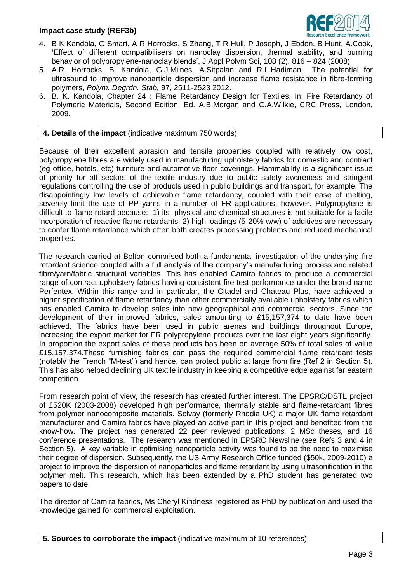## **Impact case study (REF3b)**



- 4. B K Kandola, G Smart, A R Horrocks, S Zhang, T R Hull, P Joseph, J Ebdon, B Hunt, A.Cook, **'**Effect of different compatibilisers on nanoclay dispersion, thermal stability, and burning behavior of polypropylene-nanoclay blends', J Appl Polym Sci, 108 (2), 816 – 824 (2008).
- 5. A.R. Horrocks, B. Kandola, G.J.Milnes, A.Sitpalan and R.L.Hadimani, 'The potential for ultrasound to improve nanoparticle dispersion and increase flame resistance in fibre-forming polymers, *Polym. Degrdn. Stab,* 97, 2511-2523 2012.
- 6. B. K. Kandola, Chapter 24 : Flame Retardancy Design for Textiles. In: Fire Retardancy of Polymeric Materials, Second Edition, Ed. A.B.Morgan and C.A.Wilkie, CRC Press, London, 2009.

#### **4. Details of the impact** (indicative maximum 750 words)

Because of their excellent abrasion and tensile properties coupled with relatively low cost, polypropylene fibres are widely used in manufacturing upholstery fabrics for domestic and contract (eg office, hotels, etc) furniture and automotive floor coverings. Flammability is a significant issue of priority for all sectors of the textile industry due to public safety awareness and stringent regulations controlling the use of products used in public buildings and transport, for example. The disappointingly low levels of achievable flame retardancy, coupled with their ease of melting, severely limit the use of PP yarns in a number of FR applications, however. Polypropylene is difficult to flame retard because: 1) its physical and chemical structures is not suitable for a facile incorporation of reactive flame retardants, 2) high loadings (5-20% w/w) of additives are necessary to confer flame retardance which often both creates processing problems and reduced mechanical properties.

The research carried at Bolton comprised both a fundamental investigation of the underlying fire retardant science coupled with a full analysis of the company's manufacturing process and related fibre/yarn/fabric structural variables. This has enabled Camira fabrics to produce a commercial range of contract upholstery fabrics having consistent fire test performance under the brand name Perfentex. Within this range and in particular, the Citadel and Chateau Plus, have achieved a higher specification of flame retardancy than other commercially available upholstery fabrics which has enabled Camira to develop sales into new geographical and commercial sectors. Since the development of their improved fabrics, sales amounting to £15,157,374 to date have been achieved. The fabrics have been used in public arenas and buildings throughout Europe, increasing the export market for FR polypropylene products over the last eight years significantly. In proportion the export sales of these products has been on average 50% of total sales of value £15,157,374.These furnishing fabrics can pass the required commercial flame retardant tests (notably the French "M-test") and hence, can protect public at large from fire (Ref 2 in Section 5). This has also helped declining UK textile industry in keeping a competitive edge against far eastern competition.

From research point of view, the research has created further interest. The EPSRC/DSTL project of £520K (2003-2008) developed high performance, thermally stable and flame-retardant fibres from polymer nanocomposite materials. Solvay (formerly Rhodia UK) a major UK flame retardant manufacturer and Camira fabrics have played an active part in this project and benefited from the know-how. The project has generated 22 peer reviewed publications, 2 MSc theses, and 16 conference presentations. The research was mentioned in EPSRC Newsline (see Refs 3 and 4 in Section 5). A key variable in optimising nanoparticle activity was found to be the need to maximise their degree of dispersion. Subsequently, the US Army Research Office funded (\$50k, 2009-2010) a project to improve the dispersion of nanoparticles and flame retardant by using ultrasonification in the polymer melt. This research, which has been extended by a PhD student has generated two papers to date.

The director of Camira fabrics, Ms Cheryl Kindness registered as PhD by publication and used the knowledge gained for commercial exploitation.